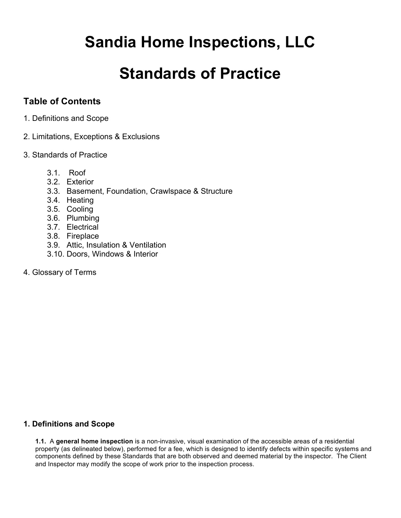# **Sandia Home Inspections, LLC**

# **Standards of Practice**

# **Table of Contents**

- 1. Definitions and Scope
- 2. Limitations, Exceptions & Exclusions
- 3. Standards of Practice
	- 3.1. Roof
	- 3.2. Exterior
	- 3.3. Basement, Foundation, Crawlspace & Structure
	- 3.4. Heating
	- 3.5. Cooling
	- 3.6. Plumbing
	- 3.7. Electrical
	- 3.8. Fireplace
	- 3.9. Attic, Insulation & Ventilation
	- 3.10. Doors, Windows & Interior
- 4. Glossary of Terms

# **1. Definitions and Scope**

**1.1.** A **general home inspection** is a non-invasive, visual examination of the accessible areas of a residential property (as delineated below), performed for a fee, which is designed to identify defects within specific systems and components defined by these Standards that are both observed and deemed material by the inspector. The Client and Inspector may modify the scope of work prior to the inspection process.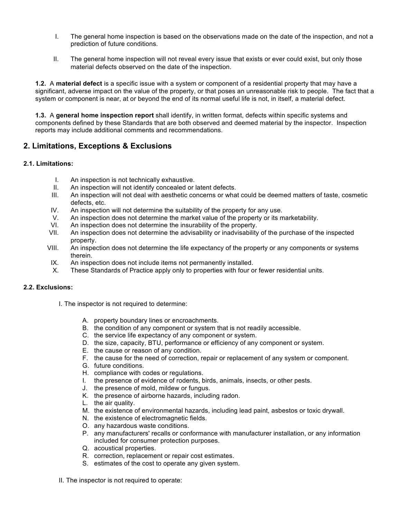- I. The general home inspection is based on the observations made on the date of the inspection, and not a prediction of future conditions.
- II. The general home inspection will not reveal every issue that exists or ever could exist, but only those material defects observed on the date of the inspection.

**1.2.** A **material defect** is a specific issue with a system or component of a residential property that may have a significant, adverse impact on the value of the property, or that poses an unreasonable risk to people. The fact that a system or component is near, at or beyond the end of its normal useful life is not, in itself, a material defect.

**1.3.** A **general home inspection report** shall identify, in written format, defects within specific systems and components defined by these Standards that are both observed and deemed material by the inspector. Inspection reports may include additional comments and recommendations.

# **2. Limitations, Exceptions & Exclusions**

## **2.1. Limitations:**

- I. An inspection is not technically exhaustive.
- II. An inspection will not identify concealed or latent defects.
- III. An inspection will not deal with aesthetic concerns or what could be deemed matters of taste, cosmetic defects, etc.
- IV. An inspection will not determine the suitability of the property for any use.
- V. An inspection does not determine the market value of the property or its marketability.
- VI. An inspection does not determine the insurability of the property.
- VII. An inspection does not determine the advisability or inadvisability of the purchase of the inspected property.
- VIII. An inspection does not determine the life expectancy of the property or any components or systems therein.
- IX. An inspection does not include items not permanently installed.
- X. These Standards of Practice apply only to properties with four or fewer residential units.

## **2.2. Exclusions:**

- I. The inspector is not required to determine:
	- A. property boundary lines or encroachments.
	- B. the condition of any component or system that is not readily accessible.
	- C. the service life expectancy of any component or system.
	- D. the size, capacity, BTU, performance or efficiency of any component or system.
	- E. the cause or reason of any condition.
	- F. the cause for the need of correction, repair or replacement of any system or component.
	- G. future conditions.
	- H. compliance with codes or regulations.
	- I. the presence of evidence of rodents, birds, animals, insects, or other pests.
	- J. the presence of mold, mildew or fungus.
	- K. the presence of airborne hazards, including radon.
	- L. the air quality.
	- M. the existence of environmental hazards, including lead paint, asbestos or toxic drywall.
	- N. the existence of electromagnetic fields.
	- O. any hazardous waste conditions.
	- P. any manufacturers' recalls or conformance with manufacturer installation, or any information included for consumer protection purposes.
	- Q. acoustical properties.
	- R. correction, replacement or repair cost estimates.
	- S. estimates of the cost to operate any given system.

II. The inspector is not required to operate: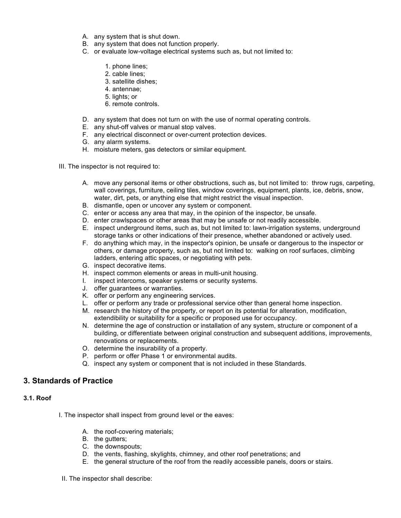- A. any system that is shut down.
- B. any system that does not function properly.
- C. or evaluate low-voltage electrical systems such as, but not limited to:
	- 1. phone lines;
	- 2. cable lines;
	- 3. satellite dishes;
	- 4. antennae;
	- 5. lights; or
	- 6. remote controls.
- D. any system that does not turn on with the use of normal operating controls.
- E. any shut-off valves or manual stop valves.
- F. any electrical disconnect or over-current protection devices.
- G. any alarm systems.
- H. moisture meters, gas detectors or similar equipment.
- III. The inspector is not required to:
	- A. move any personal items or other obstructions, such as, but not limited to: throw rugs, carpeting, wall coverings, furniture, ceiling tiles, window coverings, equipment, plants, ice, debris, snow, water, dirt, pets, or anything else that might restrict the visual inspection.
	- B. dismantle, open or uncover any system or component.
	- C. enter or access any area that may, in the opinion of the inspector, be unsafe.
	- D. enter crawlspaces or other areas that may be unsafe or not readily accessible.
	- E. inspect underground items, such as, but not limited to: lawn-irrigation systems, underground storage tanks or other indications of their presence, whether abandoned or actively used.
	- F. do anything which may, in the inspector's opinion, be unsafe or dangerous to the inspector or others, or damage property, such as, but not limited to: walking on roof surfaces, climbing ladders, entering attic spaces, or negotiating with pets.
	- G. inspect decorative items.
	- H. inspect common elements or areas in multi-unit housing.
	- I. inspect intercoms, speaker systems or security systems.
	- J. offer guarantees or warranties.
	- K. offer or perform any engineering services.
	- L. offer or perform any trade or professional service other than general home inspection.
	- M. research the history of the property, or report on its potential for alteration, modification, extendibility or suitability for a specific or proposed use for occupancy.
	- N. determine the age of construction or installation of any system, structure or component of a building, or differentiate between original construction and subsequent additions, improvements, renovations or replacements.
	- O. determine the insurability of a property.
	- P. perform or offer Phase 1 or environmental audits.
	- Q. inspect any system or component that is not included in these Standards.

# **3. Standards of Practice**

## **3.1. Roof**

- I. The inspector shall inspect from ground level or the eaves:
	- A. the roof-covering materials;
	- B. the gutters;
	- C. the downspouts;
	- D. the vents, flashing, skylights, chimney, and other roof penetrations; and
	- E. the general structure of the roof from the readily accessible panels, doors or stairs.

#### II. The inspector shall describe: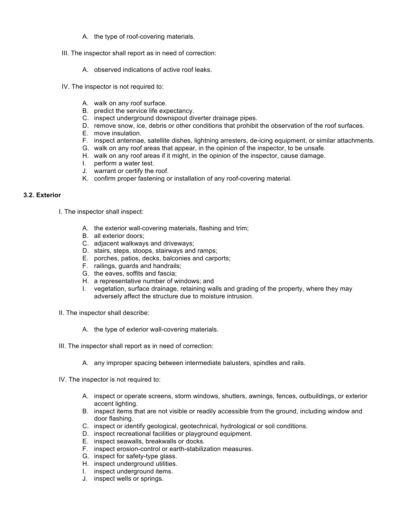- A. the type of roof-covering materials.
- III. The inspector shall report as in need of correction:
	- A. observed indications of active roof leaks.
- IV. The inspector is not required to:
	- A. walk on any roof surface.
	- B. predict the service life expectancy.
	- C. inspect underground downspout diverter drainage pipes.
	- D. remove snow, ice, debris or other conditions that prohibit the observation of the roof surfaces.
	- E. move insulation.
	- F. inspect antennae, satellite dishes, lightning arresters, de-icing equipment, or similar attachments.
	- G. walk on any roof areas that appear, in the opinion of the inspector, to be unsafe.
	- H. walk on any roof areas if it might, in the opinion of the inspector, cause damage.
	- I. perform a water test.
	- J. warrant or certify the roof.
	- K. confirm proper fastening or installation of any roof-covering material.

#### **3.2. Exterior**

I. The inspector shall inspect:

- A. the exterior wall-covering materials, flashing and trim;
- B. all exterior doors;
- C. adjacent walkways and driveways;
- D. stairs, steps, stoops, stairways and ramps;
- E. porches, patios, decks, balconies and carports;
- F. railings, guards and handrails;
- G. the eaves, soffits and fascia;
- H. a representative number of windows; and
- I. vegetation, surface drainage, retaining walls and grading of the property, where they may adversely affect the structure due to moisture intrusion.
- II. The inspector shall describe:
	- A. the type of exterior wall-covering materials.
- III. The inspector shall report as in need of correction:
	- A. any improper spacing between intermediate balusters, spindles and rails.
- IV. The inspector is not required to:
	- A. inspect or operate screens, storm windows, shutters, awnings, fences, outbuildings, or exterior accent lighting.
	- B. inspect items that are not visible or readily accessible from the ground, including window and door flashing.
	- C. inspect or identify geological, geotechnical, hydrological or soil conditions.
	- D. inspect recreational facilities or playground equipment.
	- E. inspect seawalls, breakwalls or docks.
	- F. inspect erosion-control or earth-stabilization measures.
	- G. inspect for safety-type glass.
	- H. inspect underground utilities.
	- I. inspect underground items.
	- J. inspect wells or springs.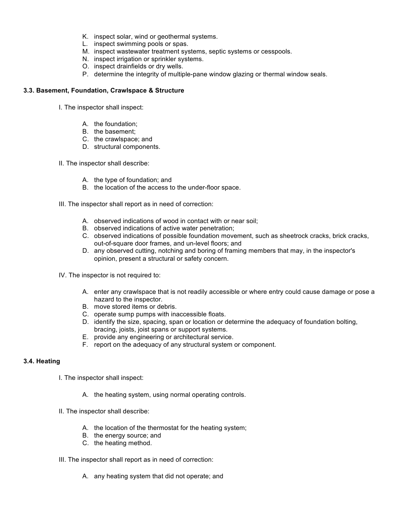- K. inspect solar, wind or geothermal systems.
- L. inspect swimming pools or spas.
- M. inspect wastewater treatment systems, septic systems or cesspools.
- N. inspect irrigation or sprinkler systems.
- O. inspect drainfields or dry wells.
- P. determine the integrity of multiple-pane window glazing or thermal window seals.

#### **3.3. Basement, Foundation, Crawlspace & Structure**

- I. The inspector shall inspect:
	- A. the foundation;
	- B. the basement;
	- C. the crawlspace; and
	- D. structural components.
- II. The inspector shall describe:
	- A. the type of foundation; and
	- B. the location of the access to the under-floor space.
- III. The inspector shall report as in need of correction:
	- A. observed indications of wood in contact with or near soil;
	- B. observed indications of active water penetration;
	- C. observed indications of possible foundation movement, such as sheetrock cracks, brick cracks, out-of-square door frames, and un-level floors; and
	- D. any observed cutting, notching and boring of framing members that may, in the inspector's opinion, present a structural or safety concern.
- IV. The inspector is not required to:
	- A. enter any crawlspace that is not readily accessible or where entry could cause damage or pose a hazard to the inspector.
	- B. move stored items or debris.
	- C. operate sump pumps with inaccessible floats.
	- D. identify the size, spacing, span or location or determine the adequacy of foundation bolting, bracing, joists, joist spans or support systems.
	- E. provide any engineering or architectural service.
	- F. report on the adequacy of any structural system or component.

## **3.4. Heating**

- I. The inspector shall inspect:
	- A. the heating system, using normal operating controls.
- II. The inspector shall describe:
	- A. the location of the thermostat for the heating system;
	- B. the energy source; and
	- C. the heating method.
- III. The inspector shall report as in need of correction:
	- A. any heating system that did not operate; and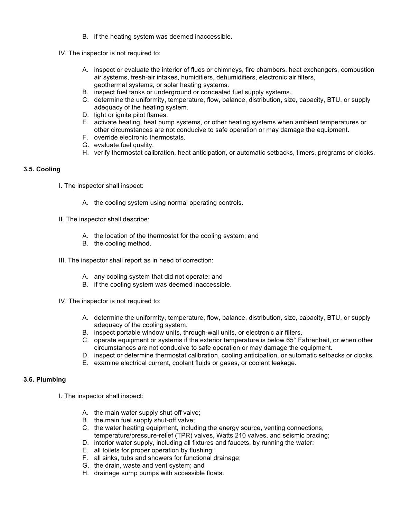- B. if the heating system was deemed inaccessible.
- IV. The inspector is not required to:
	- A. inspect or evaluate the interior of flues or chimneys, fire chambers, heat exchangers, combustion air systems, fresh-air intakes, humidifiers, dehumidifiers, electronic air filters, geothermal systems, or solar heating systems.
	- B. inspect fuel tanks or underground or concealed fuel supply systems.
	- C. determine the uniformity, temperature, flow, balance, distribution, size, capacity, BTU, or supply adequacy of the heating system.
	- D. light or ignite pilot flames.
	- E. activate heating, heat pump systems, or other heating systems when ambient temperatures or other circumstances are not conducive to safe operation or may damage the equipment.
	- F. override electronic thermostats.
	- G. evaluate fuel quality.
	- H. verify thermostat calibration, heat anticipation, or automatic setbacks, timers, programs or clocks.

#### **3.5. Cooling**

- I. The inspector shall inspect:
	- A. the cooling system using normal operating controls.
- II. The inspector shall describe:
	- A. the location of the thermostat for the cooling system; and
	- B. the cooling method.
- III. The inspector shall report as in need of correction:
	- A. any cooling system that did not operate; and
	- B. if the cooling system was deemed inaccessible.
- IV. The inspector is not required to:
	- A. determine the uniformity, temperature, flow, balance, distribution, size, capacity, BTU, or supply adequacy of the cooling system.
	- B. inspect portable window units, through-wall units, or electronic air filters.
	- C. operate equipment or systems if the exterior temperature is below 65° Fahrenheit, or when other circumstances are not conducive to safe operation or may damage the equipment.
	- D. inspect or determine thermostat calibration, cooling anticipation, or automatic setbacks or clocks.
	- E. examine electrical current, coolant fluids or gases, or coolant leakage.

## **3.6. Plumbing**

- I. The inspector shall inspect:
	- A. the main water supply shut-off valve;
	- B. the main fuel supply shut-off valve;
	- C. the water heating equipment, including the energy source, venting connections, temperature/pressure-relief (TPR) valves, Watts 210 valves, and seismic bracing;
	- D. interior water supply, including all fixtures and faucets, by running the water;
	- E. all toilets for proper operation by flushing;
	- F. all sinks, tubs and showers for functional drainage;
	- G. the drain, waste and vent system; and
	- H. drainage sump pumps with accessible floats.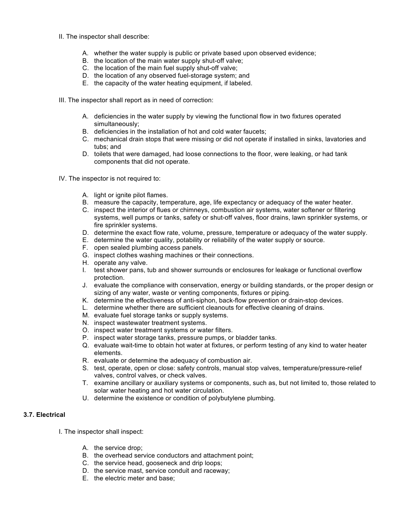- II. The inspector shall describe:
	- A. whether the water supply is public or private based upon observed evidence;
	- B. the location of the main water supply shut-off valve;
	- C. the location of the main fuel supply shut-off valve;
	- D. the location of any observed fuel-storage system; and
	- E. the capacity of the water heating equipment, if labeled.

III. The inspector shall report as in need of correction:

- A. deficiencies in the water supply by viewing the functional flow in two fixtures operated simultaneously;
- B. deficiencies in the installation of hot and cold water faucets;
- C. mechanical drain stops that were missing or did not operate if installed in sinks, lavatories and tubs; and
- D. toilets that were damaged, had loose connections to the floor, were leaking, or had tank components that did not operate.
- IV. The inspector is not required to:
	- A. light or ignite pilot flames.
	- B. measure the capacity, temperature, age, life expectancy or adequacy of the water heater.
	- C. inspect the interior of flues or chimneys, combustion air systems, water softener or filtering systems, well pumps or tanks, safety or shut-off valves, floor drains, lawn sprinkler systems, or fire sprinkler systems.
	- D. determine the exact flow rate, volume, pressure, temperature or adequacy of the water supply.
	- E. determine the water quality, potability or reliability of the water supply or source.
	- F. open sealed plumbing access panels.
	- G. inspect clothes washing machines or their connections.
	- H. operate any valve.
	- I. test shower pans, tub and shower surrounds or enclosures for leakage or functional overflow protection.
	- J. evaluate the compliance with conservation, energy or building standards, or the proper design or sizing of any water, waste or venting components, fixtures or piping.
	- K. determine the effectiveness of anti-siphon, back-flow prevention or drain-stop devices.
	- L. determine whether there are sufficient cleanouts for effective cleaning of drains.
	- M. evaluate fuel storage tanks or supply systems.
	- N. inspect wastewater treatment systems.
	- O. inspect water treatment systems or water filters.
	- P. inspect water storage tanks, pressure pumps, or bladder tanks.
	- Q. evaluate wait-time to obtain hot water at fixtures, or perform testing of any kind to water heater elements.
	- R. evaluate or determine the adequacy of combustion air.
	- S. test, operate, open or close: safety controls, manual stop valves, temperature/pressure-relief valves, control valves, or check valves.
	- T. examine ancillary or auxiliary systems or components, such as, but not limited to, those related to solar water heating and hot water circulation.
	- U. determine the existence or condition of polybutylene plumbing.

#### **3.7. Electrical**

I. The inspector shall inspect:

- A. the service drop;
- B. the overhead service conductors and attachment point;
- C. the service head, gooseneck and drip loops;
- D. the service mast, service conduit and raceway;
- E. the electric meter and base;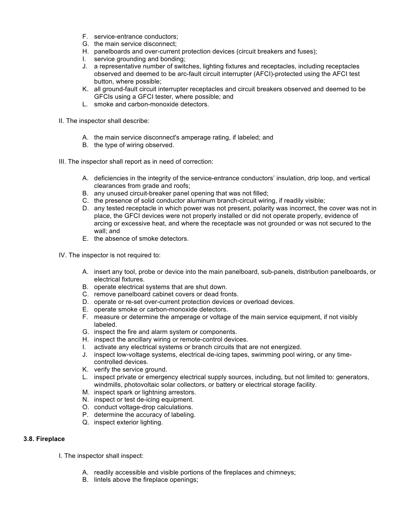- F. service-entrance conductors;
- G. the main service disconnect;
- H. panelboards and over-current protection devices (circuit breakers and fuses);
- I. service grounding and bonding;
- J. a representative number of switches, lighting fixtures and receptacles, including receptacles observed and deemed to be arc-fault circuit interrupter (AFCI)-protected using the AFCI test button, where possible;
- K. all ground-fault circuit interrupter receptacles and circuit breakers observed and deemed to be GFCIs using a GFCI tester, where possible; and
- L. smoke and carbon-monoxide detectors.

II. The inspector shall describe:

- A. the main service disconnect's amperage rating, if labeled; and
- B. the type of wiring observed.

III. The inspector shall report as in need of correction:

- A. deficiencies in the integrity of the service-entrance conductors' insulation, drip loop, and vertical clearances from grade and roofs;
- B. any unused circuit-breaker panel opening that was not filled;
- C. the presence of solid conductor aluminum branch-circuit wiring, if readily visible;
- D. any tested receptacle in which power was not present, polarity was incorrect, the cover was not in place, the GFCI devices were not properly installed or did not operate properly, evidence of arcing or excessive heat, and where the receptacle was not grounded or was not secured to the wall; and
- E. the absence of smoke detectors.
- IV. The inspector is not required to:
	- A. insert any tool, probe or device into the main panelboard, sub-panels, distribution panelboards, or electrical fixtures.
	- B. operate electrical systems that are shut down.
	- C. remove panelboard cabinet covers or dead fronts.
	- D. operate or re-set over-current protection devices or overload devices.
	- E. operate smoke or carbon-monoxide detectors.
	- F. measure or determine the amperage or voltage of the main service equipment, if not visibly labeled.
	- G. inspect the fire and alarm system or components.
	- H. inspect the ancillary wiring or remote-control devices.
	- I. activate any electrical systems or branch circuits that are not energized.
	- J. inspect low-voltage systems, electrical de-icing tapes, swimming pool wiring, or any timecontrolled devices.
	- K. verify the service ground.
	- L. inspect private or emergency electrical supply sources, including, but not limited to: generators, windmills, photovoltaic solar collectors, or battery or electrical storage facility.
	- M. inspect spark or lightning arrestors.
	- N. inspect or test de-icing equipment.
	- O. conduct voltage-drop calculations.
	- P. determine the accuracy of labeling.
	- Q. inspect exterior lighting.

#### **3.8. Fireplace**

- I. The inspector shall inspect:
	- A. readily accessible and visible portions of the fireplaces and chimneys;
	- B. lintels above the fireplace openings;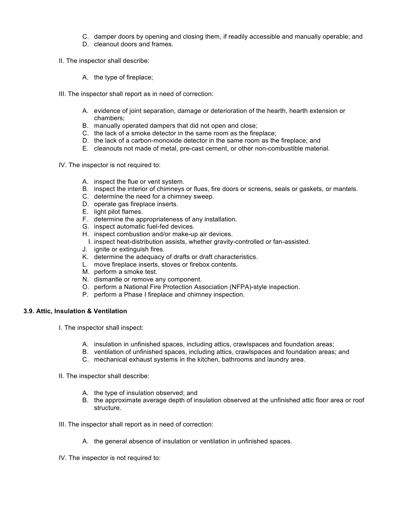- C. damper doors by opening and closing them, if readily accessible and manually operable; and
- D. cleanout doors and frames.
- II. The inspector shall describe:
	- A. the type of fireplace;
- III. The inspector shall report as in need of correction:
	- A. evidence of joint separation, damage or deterioration of the hearth, hearth extension or chambers;
	- B. manually operated dampers that did not open and close;
	- C. the lack of a smoke detector in the same room as the fireplace;
	- D. the lack of a carbon-monoxide detector in the same room as the fireplace; and
	- E. cleanouts not made of metal, pre-cast cement, or other non-combustible material.
- IV. The inspector is not required to:
	- A. inspect the flue or vent system.
	- B. inspect the interior of chimneys or flues, fire doors or screens, seals or gaskets, or mantels.
	- C. determine the need for a chimney sweep.
	- D. operate gas fireplace inserts.
	- E. light pilot flames.
	- F. determine the appropriateness of any installation.
	- G. inspect automatic fuel-fed devices.
	- H. inspect combustion and/or make-up air devices.
		- I. inspect heat-distribution assists, whether gravity-controlled or fan-assisted.
	- J. ignite or extinguish fires.
	- K. determine the adequacy of drafts or draft characteristics.
	- L. move fireplace inserts, stoves or firebox contents.
	- M. perform a smoke test.
	- N. dismantle or remove any component.
	- O. perform a National Fire Protection Association (NFPA)-style inspection.
	- P. perform a Phase I fireplace and chimney inspection.

## **3.9. Attic, Insulation & Ventilation**

- I. The inspector shall inspect:
	- A. insulation in unfinished spaces, including attics, crawlspaces and foundation areas;
	- B. ventilation of unfinished spaces, including attics, crawlspaces and foundation areas; and
	- C. mechanical exhaust systems in the kitchen, bathrooms and laundry area.
- II. The inspector shall describe:
	- A. the type of insulation observed; and
	- B. the approximate average depth of insulation observed at the unfinished attic floor area or roof structure.
- III. The inspector shall report as in need of correction:
	- A. the general absence of insulation or ventilation in unfinished spaces.
- IV. The inspector is not required to: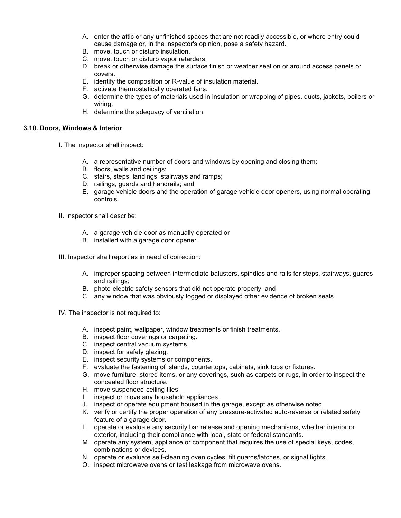- A. enter the attic or any unfinished spaces that are not readily accessible, or where entry could cause damage or, in the inspector's opinion, pose a safety hazard.
- B. move, touch or disturb insulation.
- C. move, touch or disturb vapor retarders.
- D. break or otherwise damage the surface finish or weather seal on or around access panels or covers.
- E. identify the composition or R-value of insulation material.
- F. activate thermostatically operated fans.
- G. determine the types of materials used in insulation or wrapping of pipes, ducts, jackets, boilers or wiring.
- H. determine the adequacy of ventilation.

#### **3.10. Doors, Windows & Interior**

- I. The inspector shall inspect:
	- A. a representative number of doors and windows by opening and closing them;
	- B. floors, walls and ceilings;
	- C. stairs, steps, landings, stairways and ramps;
	- D. railings, guards and handrails; and
	- E. garage vehicle doors and the operation of garage vehicle door openers, using normal operating controls.

II. Inspector shall describe:

- A. a garage vehicle door as manually-operated or
- B. installed with a garage door opener.

III. Inspector shall report as in need of correction:

- A. improper spacing between intermediate balusters, spindles and rails for steps, stairways, guards and railings;
- B. photo-electric safety sensors that did not operate properly; and
- C. any window that was obviously fogged or displayed other evidence of broken seals.
- IV. The inspector is not required to:
	- A. inspect paint, wallpaper, window treatments or finish treatments.
	- B. inspect floor coverings or carpeting.
	- C. inspect central vacuum systems.
	- D. inspect for safety glazing.
	- E. inspect security systems or components.
	- F. evaluate the fastening of islands, countertops, cabinets, sink tops or fixtures.
	- G. move furniture, stored items, or any coverings, such as carpets or rugs, in order to inspect the concealed floor structure.
	- H. move suspended-ceiling tiles.
	- I. inspect or move any household appliances.
	- J. inspect or operate equipment housed in the garage, except as otherwise noted.
	- K. verify or certify the proper operation of any pressure-activated auto-reverse or related safety feature of a garage door.
	- L. operate or evaluate any security bar release and opening mechanisms, whether interior or exterior, including their compliance with local, state or federal standards.
	- M. operate any system, appliance or component that requires the use of special keys, codes, combinations or devices.
	- N. operate or evaluate self-cleaning oven cycles, tilt guards/latches, or signal lights.
	- O. inspect microwave ovens or test leakage from microwave ovens.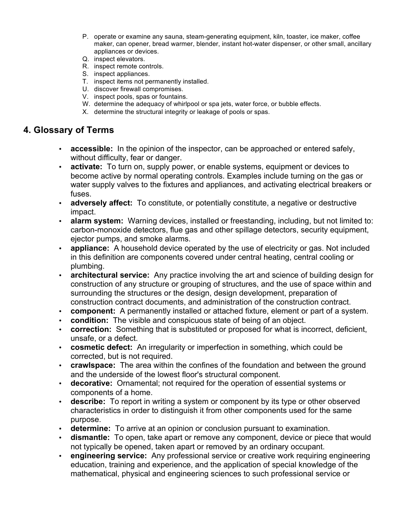- P. operate or examine any sauna, steam-generating equipment, kiln, toaster, ice maker, coffee maker, can opener, bread warmer, blender, instant hot-water dispenser, or other small, ancillary appliances or devices.
- Q. inspect elevators.
- R. inspect remote controls.
- S. inspect appliances.
- T. inspect items not permanently installed.
- U. discover firewall compromises.
- V. inspect pools, spas or fountains.
- W. determine the adequacy of whirlpool or spa jets, water force, or bubble effects.
- X. determine the structural integrity or leakage of pools or spas.

# **4. Glossary of Terms**

- **accessible:** In the opinion of the inspector, can be approached or entered safely, without difficulty, fear or danger.
- **activate:** To turn on, supply power, or enable systems, equipment or devices to become active by normal operating controls. Examples include turning on the gas or water supply valves to the fixtures and appliances, and activating electrical breakers or fuses.
- **adversely affect:** To constitute, or potentially constitute, a negative or destructive impact.
- **alarm system:** Warning devices, installed or freestanding, including, but not limited to: carbon-monoxide detectors, flue gas and other spillage detectors, security equipment, ejector pumps, and smoke alarms.
- **appliance:** A household device operated by the use of electricity or gas. Not included in this definition are components covered under central heating, central cooling or plumbing.
- **architectural service:** Any practice involving the art and science of building design for construction of any structure or grouping of structures, and the use of space within and surrounding the structures or the design, design development, preparation of construction contract documents, and administration of the construction contract.
- **component:** A permanently installed or attached fixture, element or part of a system.
- **condition:** The visible and conspicuous state of being of an object.
- **correction:** Something that is substituted or proposed for what is incorrect, deficient, unsafe, or a defect.
- **cosmetic defect:** An irregularity or imperfection in something, which could be corrected, but is not required.
- **crawlspace:** The area within the confines of the foundation and between the ground and the underside of the lowest floor's structural component.
- **decorative:** Ornamental; not required for the operation of essential systems or components of a home.
- **describe:** To report in writing a system or component by its type or other observed characteristics in order to distinguish it from other components used for the same purpose.
- **determine:** To arrive at an opinion or conclusion pursuant to examination.
- **dismantle:** To open, take apart or remove any component, device or piece that would not typically be opened, taken apart or removed by an ordinary occupant.
- **engineering service:** Any professional service or creative work requiring engineering education, training and experience, and the application of special knowledge of the mathematical, physical and engineering sciences to such professional service or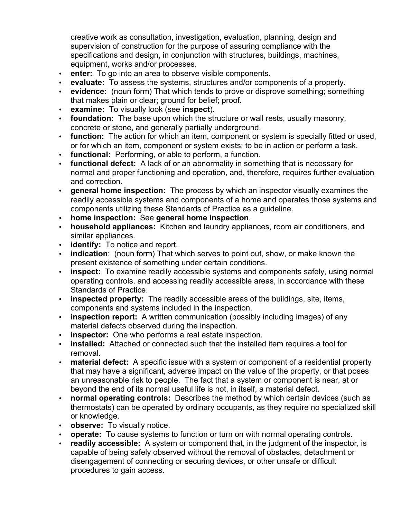creative work as consultation, investigation, evaluation, planning, design and supervision of construction for the purpose of assuring compliance with the specifications and design, in conjunction with structures, buildings, machines, equipment, works and/or processes.

- **enter:** To go into an area to observe visible components.
- **evaluate:** To assess the systems, structures and/or components of a property.
- **evidence:** (noun form) That which tends to prove or disprove something; something that makes plain or clear; ground for belief; proof.
- **examine:** To visually look (see **inspect**).
- **foundation:** The base upon which the structure or wall rests, usually masonry, concrete or stone, and generally partially underground.
- **function:** The action for which an item, component or system is specially fitted or used, or for which an item, component or system exists; to be in action or perform a task.
- **functional:** Performing, or able to perform, a function.
- **functional defect:** A lack of or an abnormality in something that is necessary for normal and proper functioning and operation, and, therefore, requires further evaluation and correction.
- **general home inspection:** The process by which an inspector visually examines the readily accessible systems and components of a home and operates those systems and components utilizing these Standards of Practice as a guideline.
- **home inspection:** See **general home inspection**.
- **household appliances:** Kitchen and laundry appliances, room air conditioners, and similar appliances.
- **identify:** To notice and report.
- **indication**: (noun form) That which serves to point out, show, or make known the present existence of something under certain conditions.
- **inspect:** To examine readily accessible systems and components safely, using normal operating controls, and accessing readily accessible areas, in accordance with these Standards of Practice.
- **inspected property:** The readily accessible areas of the buildings, site, items, components and systems included in the inspection.
- **inspection report:** A written communication (possibly including images) of any material defects observed during the inspection.
- **inspector:** One who performs a real estate inspection.
- **installed:** Attached or connected such that the installed item requires a tool for removal.
- **material defect:** A specific issue with a system or component of a residential property that may have a significant, adverse impact on the value of the property, or that poses an unreasonable risk to people. The fact that a system or component is near, at or beyond the end of its normal useful life is not, in itself, a material defect.
- **normal operating controls:** Describes the method by which certain devices (such as thermostats) can be operated by ordinary occupants, as they require no specialized skill or knowledge.
- **observe:** To visually notice.
- **operate:** To cause systems to function or turn on with normal operating controls.
- **readily accessible:** A system or component that, in the judgment of the inspector, is capable of being safely observed without the removal of obstacles, detachment or disengagement of connecting or securing devices, or other unsafe or difficult procedures to gain access.